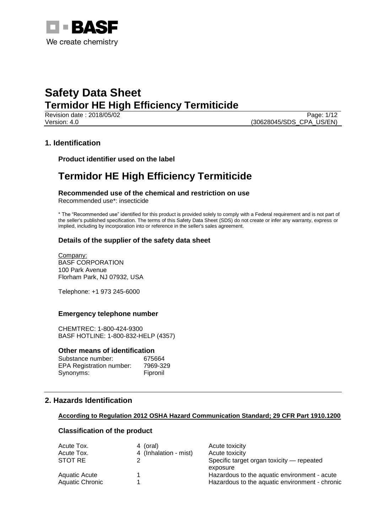

Page: 1/12 Version: 4.0 (30628045/SDS\_CPA\_US/EN)

## **1. Identification**

**Product identifier used on the label**

## **Termidor HE High Efficiency Termiticide**

**Recommended use of the chemical and restriction on use** Recommended use\*: insecticide

\* The "Recommended use" identified for this product is provided solely to comply with a Federal requirement and is not part of the seller's published specification. The terms of this Safety Data Sheet (SDS) do not create or infer any warranty, express or implied, including by incorporation into or reference in the seller's sales agreement.

## **Details of the supplier of the safety data sheet**

Company: BASF CORPORATION 100 Park Avenue Florham Park, NJ 07932, USA

Telephone: +1 973 245-6000

#### **Emergency telephone number**

CHEMTREC: 1-800-424-9300 BASF HOTLINE: 1-800-832-HELP (4357)

#### **Other means of identification**

| Substance number:               | 675664   |
|---------------------------------|----------|
| <b>EPA Registration number:</b> | 7969-329 |
| Synonyms:                       | Fipronil |

## **2. Hazards Identification**

#### **According to Regulation 2012 OSHA Hazard Communication Standard; 29 CFR Part 1910.1200**

## **Classification of the product**

| Acute Tox.      | 4 (oral)              | Acute toxicity                                 |
|-----------------|-----------------------|------------------------------------------------|
| Acute Tox.      | 4 (Inhalation - mist) | Acute toxicity                                 |
| STOT RE         |                       | Specific target organ toxicity — repeated      |
|                 |                       | exposure                                       |
| Aquatic Acute   |                       | Hazardous to the aquatic environment - acute   |
| Aquatic Chronic |                       | Hazardous to the aquatic environment - chronic |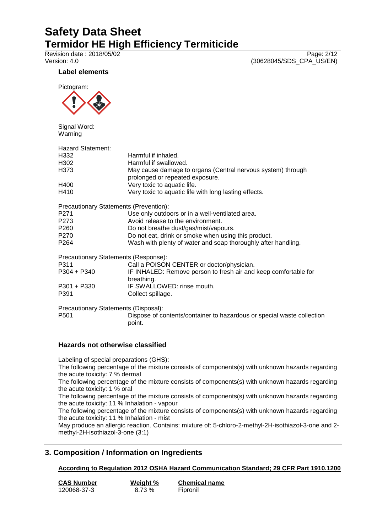Revision date : 2018/05/02<br>
Version: 4.0 (30628045/SDS\_CPA\_US/EN) (30628045/SDS\_CPA\_US/EN)

## **Label elements**



Signal Word: Warning

| Hazard Statement:                      |                                                                                                |
|----------------------------------------|------------------------------------------------------------------------------------------------|
| H332                                   | Harmful if inhaled.                                                                            |
| H302                                   | Harmful if swallowed.                                                                          |
| H373                                   | May cause damage to organs (Central nervous system) through<br>prolonged or repeated exposure. |
| H400                                   | Very toxic to aquatic life.                                                                    |
| H410                                   | Very toxic to aquatic life with long lasting effects.                                          |
| Precautionary Statements (Prevention): |                                                                                                |
| P271                                   | Use only outdoors or in a well-ventilated area.                                                |
| P273                                   | Avoid release to the environment.                                                              |
| P260                                   | Do not breathe dust/gas/mist/vapours.                                                          |
| P270                                   | Do not eat, drink or smoke when using this product.                                            |
| P264                                   | Wash with plenty of water and soap thoroughly after handling.                                  |
| Precautionary Statements (Response):   |                                                                                                |
| P311                                   | Call a POISON CENTER or doctor/physician.                                                      |
| P304 + P340                            | IF INHALED: Remove person to fresh air and keep comfortable for<br>breathing.                  |
| P301 + P330                            | IF SWALLOWED: rinse mouth.                                                                     |
| P391                                   | Collect spillage.                                                                              |
| Precautionary Statements (Disposal):   |                                                                                                |
| P501                                   | Dispose of contents/container to hazardous or special waste collection<br>point.               |
|                                        |                                                                                                |

## **Hazards not otherwise classified**

Labeling of special preparations (GHS):

The following percentage of the mixture consists of components(s) with unknown hazards regarding the acute toxicity: 7 % dermal

The following percentage of the mixture consists of components(s) with unknown hazards regarding the acute toxicity: 1 % oral

The following percentage of the mixture consists of components(s) with unknown hazards regarding the acute toxicity: 11 % Inhalation - vapour

The following percentage of the mixture consists of components(s) with unknown hazards regarding the acute toxicity: 11 % Inhalation - mist

May produce an allergic reaction. Contains: mixture of: 5-chloro-2-methyl-2H-isothiazol-3-one and 2 methyl-2H-isothiazol-3-one (3:1)

## **3. Composition / Information on Ingredients**

## **According to Regulation 2012 OSHA Hazard Communication Standard; 29 CFR Part 1910.1200**

| <b>CAS Number</b> | Weight % | <b>Chemical name</b> |
|-------------------|----------|----------------------|
| 120068-37-3       | 8.73 %   | Fipronil             |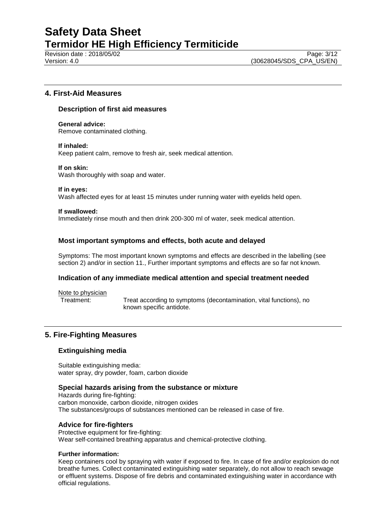Revision date : 2018/05/02 Page: 3/12

## **4. First-Aid Measures**

#### **Description of first aid measures**

**General advice:** Remove contaminated clothing.

#### **If inhaled:**

Keep patient calm, remove to fresh air, seek medical attention.

#### **If on skin:**

Wash thoroughly with soap and water.

#### **If in eyes:**

Wash affected eyes for at least 15 minutes under running water with eyelids held open.

#### **If swallowed:**

Immediately rinse mouth and then drink 200-300 ml of water, seek medical attention.

## **Most important symptoms and effects, both acute and delayed**

Symptoms: The most important known symptoms and effects are described in the labelling (see section 2) and/or in section 11., Further important symptoms and effects are so far not known.

## **Indication of any immediate medical attention and special treatment needed**

Note to physician

Treatment: Treat according to symptoms (decontamination, vital functions), no known specific antidote.

## **5. Fire-Fighting Measures**

## **Extinguishing media**

Suitable extinguishing media: water spray, dry powder, foam, carbon dioxide

#### **Special hazards arising from the substance or mixture**

Hazards during fire-fighting: carbon monoxide, carbon dioxide, nitrogen oxides The substances/groups of substances mentioned can be released in case of fire.

## **Advice for fire-fighters**

Protective equipment for fire-fighting: Wear self-contained breathing apparatus and chemical-protective clothing.

#### **Further information:**

Keep containers cool by spraying with water if exposed to fire. In case of fire and/or explosion do not breathe fumes. Collect contaminated extinguishing water separately, do not allow to reach sewage or effluent systems. Dispose of fire debris and contaminated extinguishing water in accordance with official regulations.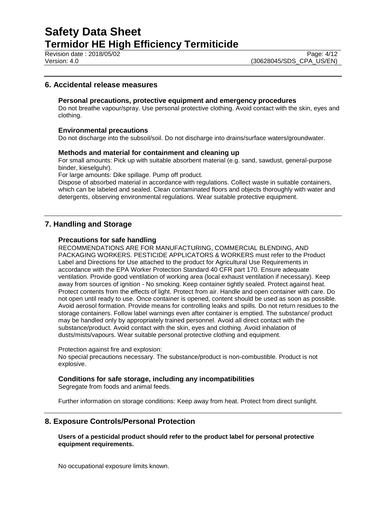Revision date : 2018/05/02<br>
Version: 4.0<br>
Version: 4.0 (30628045/SDS CPA US/EN)

## **6. Accidental release measures**

#### **Personal precautions, protective equipment and emergency procedures**

Do not breathe vapour/spray. Use personal protective clothing. Avoid contact with the skin, eyes and clothing.

#### **Environmental precautions**

Do not discharge into the subsoil/soil. Do not discharge into drains/surface waters/groundwater.

#### **Methods and material for containment and cleaning up**

For small amounts: Pick up with suitable absorbent material (e.g. sand, sawdust, general-purpose binder, kieselguhr).

For large amounts: Dike spillage. Pump off product.

Dispose of absorbed material in accordance with regulations. Collect waste in suitable containers, which can be labeled and sealed. Clean contaminated floors and objects thoroughly with water and detergents, observing environmental regulations. Wear suitable protective equipment.

## **7. Handling and Storage**

#### **Precautions for safe handling**

RECOMMENDATIONS ARE FOR MANUFACTURING, COMMERCIAL BLENDING, AND PACKAGING WORKERS. PESTICIDE APPLICATORS & WORKERS must refer to the Product Label and Directions for Use attached to the product for Agricultural Use Requirements in accordance with the EPA Worker Protection Standard 40 CFR part 170. Ensure adequate ventilation. Provide good ventilation of working area (local exhaust ventilation if necessary). Keep away from sources of ignition - No smoking. Keep container tightly sealed. Protect against heat. Protect contents from the effects of light. Protect from air. Handle and open container with care. Do not open until ready to use. Once container is opened, content should be used as soon as possible. Avoid aerosol formation. Provide means for controlling leaks and spills. Do not return residues to the storage containers. Follow label warnings even after container is emptied. The substance/ product may be handled only by appropriately trained personnel. Avoid all direct contact with the substance/product. Avoid contact with the skin, eyes and clothing. Avoid inhalation of dusts/mists/vapours. Wear suitable personal protective clothing and equipment.

Protection against fire and explosion:

No special precautions necessary. The substance/product is non-combustible. Product is not explosive.

#### **Conditions for safe storage, including any incompatibilities**

Segregate from foods and animal feeds.

Further information on storage conditions: Keep away from heat. Protect from direct sunlight.

#### **8. Exposure Controls/Personal Protection**

#### **Users of a pesticidal product should refer to the product label for personal protective equipment requirements.**

No occupational exposure limits known.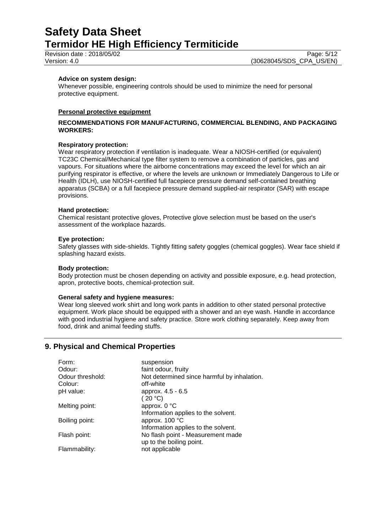Revision date : 2018/05/02 Page: 5/12

#### **Advice on system design:**

Whenever possible, engineering controls should be used to minimize the need for personal protective equipment.

#### **Personal protective equipment**

#### **RECOMMENDATIONS FOR MANUFACTURING, COMMERCIAL BLENDING, AND PACKAGING WORKERS:**

#### **Respiratory protection:**

Wear respiratory protection if ventilation is inadequate. Wear a NIOSH-certified (or equivalent) TC23C Chemical/Mechanical type filter system to remove a combination of particles, gas and vapours. For situations where the airborne concentrations may exceed the level for which an air purifying respirator is effective, or where the levels are unknown or Immediately Dangerous to Life or Health (IDLH), use NIOSH-certified full facepiece pressure demand self-contained breathing apparatus (SCBA) or a full facepiece pressure demand supplied-air respirator (SAR) with escape provisions.

#### **Hand protection:**

Chemical resistant protective gloves, Protective glove selection must be based on the user's assessment of the workplace hazards.

#### **Eye protection:**

Safety glasses with side-shields. Tightly fitting safety goggles (chemical goggles). Wear face shield if splashing hazard exists.

#### **Body protection:**

Body protection must be chosen depending on activity and possible exposure, e.g. head protection, apron, protective boots, chemical-protection suit.

#### **General safety and hygiene measures:**

Wear long sleeved work shirt and long work pants in addition to other stated personal protective equipment. Work place should be equipped with a shower and an eye wash. Handle in accordance with good industrial hygiene and safety practice. Store work clothing separately. Keep away from food, drink and animal feeding stuffs.

## **9. Physical and Chemical Properties**

| suspension                                  |
|---------------------------------------------|
| faint odour, fruity                         |
| Not determined since harmful by inhalation. |
| off-white                                   |
| approx. 4.5 - 6.5                           |
| (20 °C)                                     |
| approx. 0 °C                                |
| Information applies to the solvent.         |
| approx. 100 °C                              |
| Information applies to the solvent.         |
| No flash point - Measurement made           |
| up to the boiling point.                    |
| not applicable                              |
|                                             |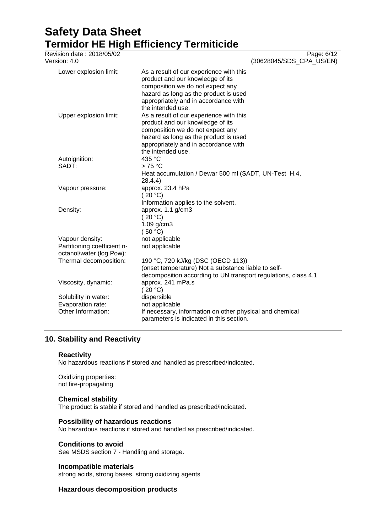| Revision date: 2018/05/02<br>Version: 4.0               |                                                                                                                                                                                                                       | Page: 6/12<br>(30628045/SDS_CPA_US/EN) |
|---------------------------------------------------------|-----------------------------------------------------------------------------------------------------------------------------------------------------------------------------------------------------------------------|----------------------------------------|
| Lower explosion limit:                                  | As a result of our experience with this<br>product and our knowledge of its<br>composition we do not expect any<br>hazard as long as the product is used<br>appropriately and in accordance with<br>the intended use. |                                        |
| Upper explosion limit:                                  | As a result of our experience with this<br>product and our knowledge of its<br>composition we do not expect any<br>hazard as long as the product is used<br>appropriately and in accordance with<br>the intended use. |                                        |
| Autoignition:                                           | 435 °C                                                                                                                                                                                                                |                                        |
| SADT:                                                   | $>75^{\circ}$ C<br>Heat accumulation / Dewar 500 ml (SADT, UN-Test H.4,<br>28.4.4)                                                                                                                                    |                                        |
| Vapour pressure:                                        | approx. 23.4 hPa<br>(20 °C)<br>Information applies to the solvent.                                                                                                                                                    |                                        |
| Density:                                                | approx. 1.1 g/cm3<br>(20 °C)<br>1.09 g/cm3<br>(50 °C)                                                                                                                                                                 |                                        |
| Vapour density:                                         | not applicable                                                                                                                                                                                                        |                                        |
| Partitioning coefficient n-<br>octanol/water (log Pow): | not applicable                                                                                                                                                                                                        |                                        |
| Thermal decomposition:                                  | 190 °C, 720 kJ/kg (DSC (OECD 113))<br>(onset temperature) Not a substance liable to self-<br>decomposition according to UN transport regulations, class 4.1.                                                          |                                        |
| Viscosity, dynamic:                                     | approx. 241 mPa.s<br>(20 °C)                                                                                                                                                                                          |                                        |
| Solubility in water:                                    | dispersible                                                                                                                                                                                                           |                                        |
| Evaporation rate:                                       | not applicable                                                                                                                                                                                                        |                                        |
| Other Information:                                      | If necessary, information on other physical and chemical<br>parameters is indicated in this section.                                                                                                                  |                                        |

## **10. Stability and Reactivity**

## **Reactivity**

No hazardous reactions if stored and handled as prescribed/indicated.

Oxidizing properties: not fire-propagating

## **Chemical stability**

The product is stable if stored and handled as prescribed/indicated.

## **Possibility of hazardous reactions**

No hazardous reactions if stored and handled as prescribed/indicated.

## **Conditions to avoid**

See MSDS section 7 - Handling and storage.

#### **Incompatible materials**

strong acids, strong bases, strong oxidizing agents

## **Hazardous decomposition products**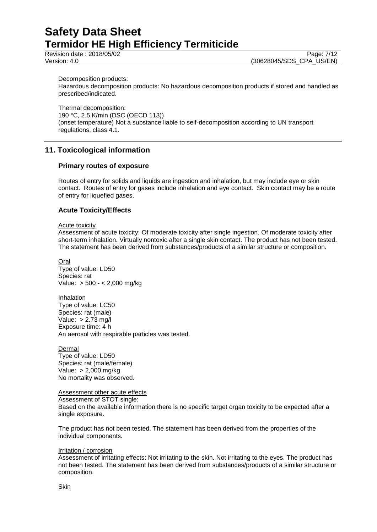Page: 7/12

Version: 4.0 (30628045/SDS\_CPA\_US/EN)

Decomposition products:

Hazardous decomposition products: No hazardous decomposition products if stored and handled as prescribed/indicated.

Thermal decomposition: 190 °C, 2.5 K/min (DSC (OECD 113)) (onset temperature) Not a substance liable to self-decomposition according to UN transport regulations, class 4.1.

## **11. Toxicological information**

## **Primary routes of exposure**

Routes of entry for solids and liquids are ingestion and inhalation, but may include eye or skin contact. Routes of entry for gases include inhalation and eye contact. Skin contact may be a route of entry for liquefied gases.

## **Acute Toxicity/Effects**

#### Acute toxicity

Assessment of acute toxicity: Of moderate toxicity after single ingestion. Of moderate toxicity after short-term inhalation. Virtually nontoxic after a single skin contact. The product has not been tested. The statement has been derived from substances/products of a similar structure or composition.

Oral Type of value: LD50 Species: rat Value: > 500 - < 2,000 mg/kg

Inhalation Type of value: LC50 Species: rat (male) Value: > 2.73 mg/l Exposure time: 4 h An aerosol with respirable particles was tested.

**Dermal** Type of value: LD50 Species: rat (male/female) Value: > 2,000 mg/kg No mortality was observed.

Assessment other acute effects Assessment of STOT single: Based on the available information there is no specific target organ toxicity to be expected after a single exposure.

The product has not been tested. The statement has been derived from the properties of the individual components.

#### Irritation / corrosion

Assessment of irritating effects: Not irritating to the skin. Not irritating to the eyes. The product has not been tested. The statement has been derived from substances/products of a similar structure or composition.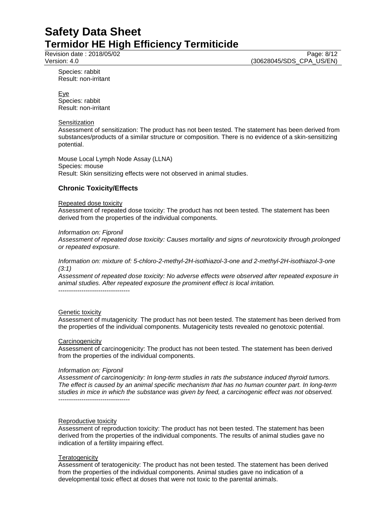Revision date : 2018/05/02 Page: 8/12

Version: 4.0 (30628045/SDS\_CPA\_US/EN)

Species: rabbit Result: non-irritant

Eye Species: rabbit Result: non-irritant

#### **Sensitization**

Assessment of sensitization: The product has not been tested. The statement has been derived from substances/products of a similar structure or composition. There is no evidence of a skin-sensitizing potential.

Mouse Local Lymph Node Assay (LLNA) Species: mouse Result: Skin sensitizing effects were not observed in animal studies.

## **Chronic Toxicity/Effects**

#### Repeated dose toxicity

Assessment of repeated dose toxicity: The product has not been tested. The statement has been derived from the properties of the individual components.

#### *Information on: Fipronil*

*Assessment of repeated dose toxicity: Causes mortality and signs of neurotoxicity through prolonged or repeated exposure.*

*Information on: mixture of: 5-chloro-2-methyl-2H-isothiazol-3-one and 2-methyl-2H-isothiazol-3-one (3:1)*

*Assessment of repeated dose toxicity: No adverse effects were observed after repeated exposure in animal studies. After repeated exposure the prominent effect is local irritation.*

#### **Genetic toxicity**

Assessment of mutagenicity: The product has not been tested. The statement has been derived from the properties of the individual components. Mutagenicity tests revealed no genotoxic potential.

#### **Carcinogenicity**

Assessment of carcinogenicity: The product has not been tested. The statement has been derived from the properties of the individual components.

#### *Information on: Fipronil*

*Assessment of carcinogenicity: In long-term studies in rats the substance induced thyroid tumors. The effect is caused by an animal specific mechanism that has no human counter part. In long-term studies in mice in which the substance was given by feed, a carcinogenic effect was not observed.* ----------------------------------

#### Reproductive toxicity

Assessment of reproduction toxicity: The product has not been tested. The statement has been derived from the properties of the individual components. The results of animal studies gave no indication of a fertility impairing effect.

#### **Teratogenicity**

Assessment of teratogenicity: The product has not been tested. The statement has been derived from the properties of the individual components. Animal studies gave no indication of a developmental toxic effect at doses that were not toxic to the parental animals.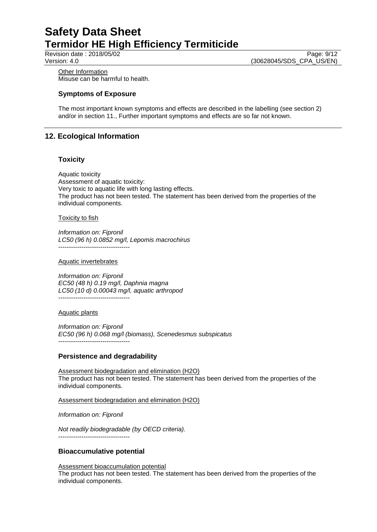Page: 9/12

Version: 4.0 (30628045/SDS\_CPA\_US/EN)

**Other Information** Misuse can be harmful to health.

## **Symptoms of Exposure**

The most important known symptoms and effects are described in the labelling (see section 2) and/or in section 11., Further important symptoms and effects are so far not known.

## **12. Ecological Information**

## **Toxicity**

Aquatic toxicity Assessment of aquatic toxicity: Very toxic to aquatic life with long lasting effects. The product has not been tested. The statement has been derived from the properties of the individual components.

#### Toxicity to fish

*Information on: Fipronil LC50 (96 h) 0.0852 mg/l, Lepomis macrochirus* ----------------------------------

#### Aquatic invertebrates

*Information on: Fipronil EC50 (48 h) 0.19 mg/l, Daphnia magna LC50 (10 d) 0.00043 mg/l, aquatic arthropod* ----------------------------------

Aquatic plants

*Information on: Fipronil EC50 (96 h) 0.068 mg/l (biomass), Scenedesmus subspicatus* ----------------------------------

## **Persistence and degradability**

Assessment biodegradation and elimination (H2O) The product has not been tested. The statement has been derived from the properties of the individual components.

Assessment biodegradation and elimination (H2O)

*Information on: Fipronil*

*Not readily biodegradable (by OECD criteria).* ----------------------------------

## **Bioaccumulative potential**

Assessment bioaccumulation potential The product has not been tested. The statement has been derived from the properties of the individual components.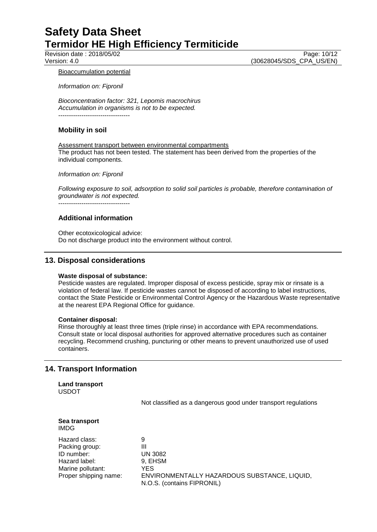Revision date : 2018/05/02<br>
Version: 4.0<br>
Version: 4.0<br>
(30628045/SDS CPA US/EN) (30628045/SDS\_CPA\_US/EN)

#### Bioaccumulation potential

*Information on: Fipronil*

*Bioconcentration factor: 321, Lepomis macrochirus Accumulation in organisms is not to be expected.* ----------------------------------

## **Mobility in soil**

Assessment transport between environmental compartments The product has not been tested. The statement has been derived from the properties of the individual components.

*Information on: Fipronil*

*Following exposure to soil, adsorption to solid soil particles is probable, therefore contamination of groundwater is not expected.*

----------------------------------

## **Additional information**

Other ecotoxicological advice: Do not discharge product into the environment without control.

## **13. Disposal considerations**

#### **Waste disposal of substance:**

Pesticide wastes are regulated. Improper disposal of excess pesticide, spray mix or rinsate is a violation of federal law. If pesticide wastes cannot be disposed of according to label instructions, contact the State Pesticide or Environmental Control Agency or the Hazardous Waste representative at the nearest EPA Regional Office for guidance.

#### **Container disposal:**

Rinse thoroughly at least three times (triple rinse) in accordance with EPA recommendations. Consult state or local disposal authorities for approved alternative procedures such as container recycling. Recommend crushing, puncturing or other means to prevent unauthorized use of used containers.

## **14. Transport Information**

**Land transport** USDOT

Not classified as a dangerous good under transport regulations

| Sea transport |  |
|---------------|--|
| IMDG          |  |

Hazard class: 9 Packing group: III ID number: UN 3082 Hazard label: 9, EHSM Marine pollutant: YES

Proper shipping name: ENVIRONMENTALLY HAZARDOUS SUBSTANCE, LIQUID, N.O.S. (contains FIPRONIL)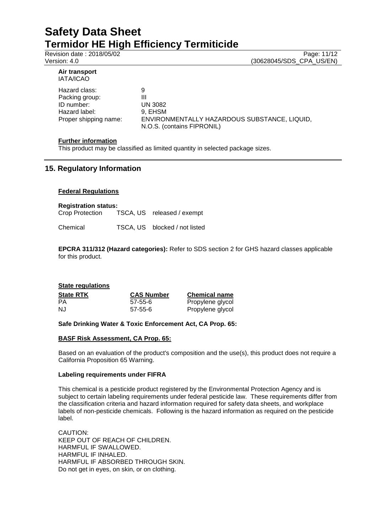Revision date : 2018/05/02 Page: 11/12

Version: 4.0 (30628045/SDS\_CPA\_US/EN)

#### **Air transport** IATA/ICAO

Hazard class: 9 Packing group: III ID number: UN 3082 Hazard label: 9, EHSM

Proper shipping name: ENVIRONMENTALLY HAZARDOUS SUBSTANCE, LIQUID, N.O.S. (contains FIPRONIL)

## **Further information**

This product may be classified as limited quantity in selected package sizes.

## **15. Regulatory Information**

## **Federal Regulations**

# **Registration status:**

TSCA, US released / exempt

Chemical TSCA, US blocked / not listed

**EPCRA 311/312 (Hazard categories):** Refer to SDS section 2 for GHS hazard classes applicable for this product.

## **State regulations State RTK CAS Number Chemical name**<br> **PA CAS Number Chemical name**<br> **PRODUGE PRODUGE PRODUGE PRODUGE** 57-55-6 Propylene glycol NJ 57-55-6 Propylene glycol

## **Safe Drinking Water & Toxic Enforcement Act, CA Prop. 65:**

## **BASF Risk Assessment, CA Prop. 65:**

Based on an evaluation of the product's composition and the use(s), this product does not require a California Proposition 65 Warning.

## **Labeling requirements under FIFRA**

This chemical is a pesticide product registered by the Environmental Protection Agency and is subject to certain labeling requirements under federal pesticide law. These requirements differ from the classification criteria and hazard information required for safety data sheets, and workplace labels of non-pesticide chemicals. Following is the hazard information as required on the pesticide label.

CAUTION: KEEP OUT OF REACH OF CHILDREN. HARMFUL IF SWALLOWED. HARMFUL IF INHALED. HARMFUL IF ABSORBED THROUGH SKIN. Do not get in eyes, on skin, or on clothing.